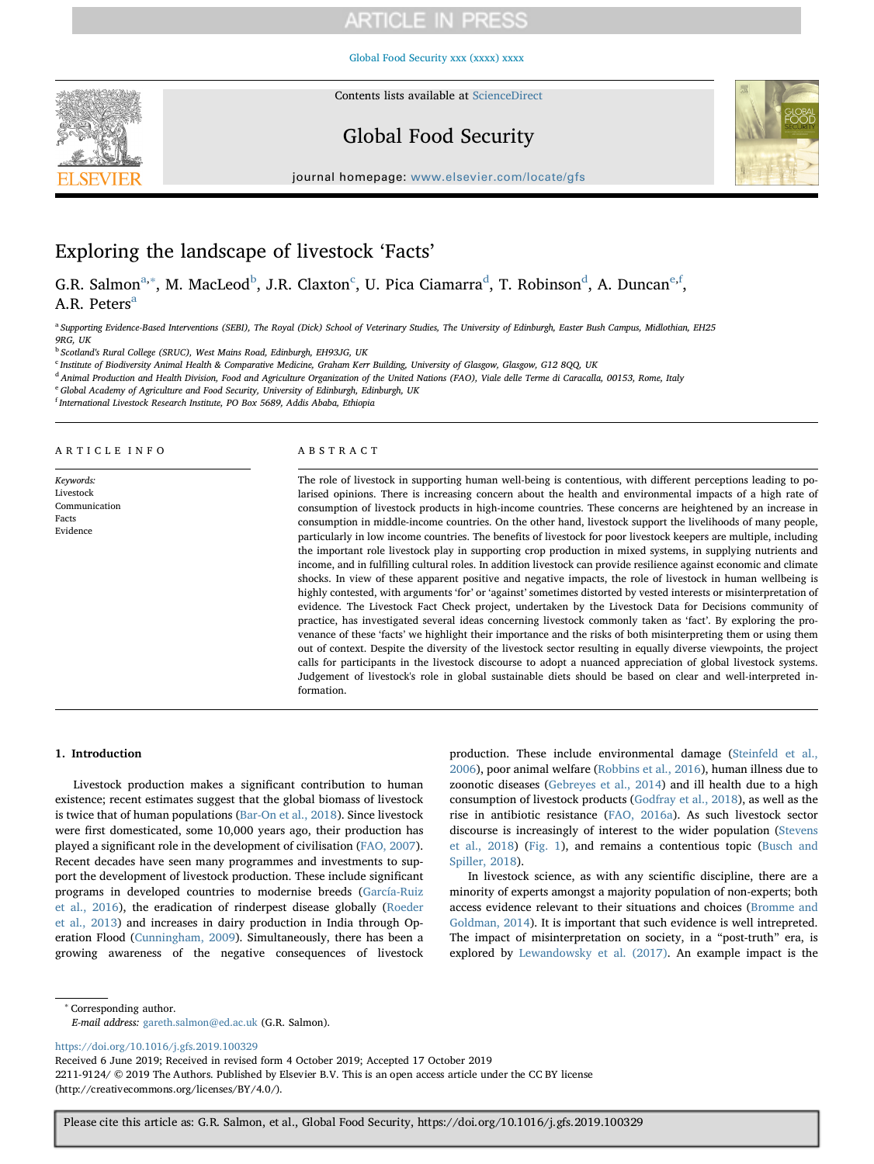## **ARTICLE IN PRESS**

#### [Global Food Security xxx \(xxxx\) xxxx](https://doi.org/10.1016/j.gfs.2019.100329)





# Global Food Security



journal homepage: [www.elsevier.com/locate/gfs](https://www.elsevier.com/locate/gfs)

# Exploring the landscape of livestock 'Facts'

### G.R. Salmon<sup>[a,](#page-0-0)\*</sup>, M. MacLeod<sup>[b](#page-0-2)</sup>, J.R. Claxton<sup>[c](#page-0-3)</sup>, U. Pica Ciamarra<sup>[d](#page-0-4)</sup>, T. Robinson<sup>d</sup>, A. Duncan<sup>[e,](#page-0-5)[f](#page-0-6)</sup>, A.R. Peters<sup>[a](#page-0-0)</sup>

<span id="page-0-0"></span>a Supporting Evidence-Based Interventions (SEBI), The Royal (Dick) School of Veterinary Studies, The University of Edinburgh, Easter Bush Campus, Midlothian, EH25 9RG, UK

<span id="page-0-2"></span><sup>b</sup> Scotland's Rural College (SRUC), West Mains Road, Edinburgh, EH93JG, UK

<span id="page-0-3"></span><sup>c</sup> Institute of Biodiversity Animal Health & Comparative Medicine, Graham Kerr Building, University of Glasgow, Glasgow, G12 8QQ, UK

<span id="page-0-4"></span><sup>d</sup> Animal Production and Health Division, Food and Agriculture Organization of the United Nations (FAO), Viale delle Terme di Caracalla, 00153, Rome, Italy

<span id="page-0-5"></span><sup>e</sup> Global Academy of Agriculture and Food Security, University of Edinburgh, Edinburgh, UK

<span id="page-0-6"></span><sup>f</sup> International Livestock Research Institute, PO Box 5689, Addis Ababa, Ethiopia

#### ARTICLE INFO

Keywords: Livestock Communication Facts Evidence

### ABSTRACT

The role of livestock in supporting human well-being is contentious, with different perceptions leading to polarised opinions. There is increasing concern about the health and environmental impacts of a high rate of consumption of livestock products in high-income countries. These concerns are heightened by an increase in consumption in middle-income countries. On the other hand, livestock support the livelihoods of many people, particularly in low income countries. The benefits of livestock for poor livestock keepers are multiple, including the important role livestock play in supporting crop production in mixed systems, in supplying nutrients and income, and in fulfilling cultural roles. In addition livestock can provide resilience against economic and climate shocks. In view of these apparent positive and negative impacts, the role of livestock in human wellbeing is highly contested, with arguments 'for' or 'against' sometimes distorted by vested interests or misinterpretation of evidence. The Livestock Fact Check project, undertaken by the Livestock Data for Decisions community of practice, has investigated several ideas concerning livestock commonly taken as 'fact'. By exploring the provenance of these 'facts' we highlight their importance and the risks of both misinterpreting them or using them out of context. Despite the diversity of the livestock sector resulting in equally diverse viewpoints, the project calls for participants in the livestock discourse to adopt a nuanced appreciation of global livestock systems. Judgement of livestock's role in global sustainable diets should be based on clear and well-interpreted information.

### 1. Introduction

Livestock production makes a significant contribution to human existence; recent estimates suggest that the global biomass of livestock is twice that of human populations ([Bar-On et al., 2018\)](#page-4-0). Since livestock were first domesticated, some 10,000 years ago, their production has played a significant role in the development of civilisation ([FAO, 2007](#page-4-1)). Recent decades have seen many programmes and investments to support the development of livestock production. These include significant programs in developed countries to modernise breeds [\(García-Ruiz](#page-5-0) [et al., 2016\)](#page-5-0), the eradication of rinderpest disease globally ([Roeder](#page-5-1) [et al., 2013\)](#page-5-1) and increases in dairy production in India through Operation Flood ([Cunningham, 2009](#page-4-2)). Simultaneously, there has been a growing awareness of the negative consequences of livestock

production. These include environmental damage ([Steinfeld et al.,](#page-6-0) [2006\)](#page-6-0), poor animal welfare ([Robbins et al., 2016\)](#page-5-2), human illness due to zoonotic diseases [\(Gebreyes et al., 2014\)](#page-5-3) and ill health due to a high consumption of livestock products ([Godfray et al., 2018](#page-5-4)), as well as the rise in antibiotic resistance ([FAO, 2016a\)](#page-5-5). As such livestock sector discourse is increasingly of interest to the wider population [\(Stevens](#page-6-1) [et al., 2018](#page-6-1)) ([Fig. 1\)](#page-1-0), and remains a contentious topic ([Busch and](#page-4-3) [Spiller, 2018](#page-4-3)).

In livestock science, as with any scientific discipline, there are a minority of experts amongst a majority population of non-experts; both access evidence relevant to their situations and choices ([Bromme and](#page-4-4) [Goldman, 2014](#page-4-4)). It is important that such evidence is well intrepreted. The impact of misinterpretation on society, in a "post-truth" era, is explored by [Lewandowsky et al. \(2017\).](#page-5-6) An example impact is the

<span id="page-0-1"></span><sup>∗</sup> Corresponding author. E-mail address: [gareth.salmon@ed.ac.uk](mailto:gareth.salmon@ed.ac.uk) (G.R. Salmon).

<https://doi.org/10.1016/j.gfs.2019.100329>

Received 6 June 2019; Received in revised form 4 October 2019; Accepted 17 October 2019 2211-9124/ © 2019 The Authors. Published by Elsevier B.V. This is an open access article under the CC BY license (http://creativecommons.org/licenses/BY/4.0/).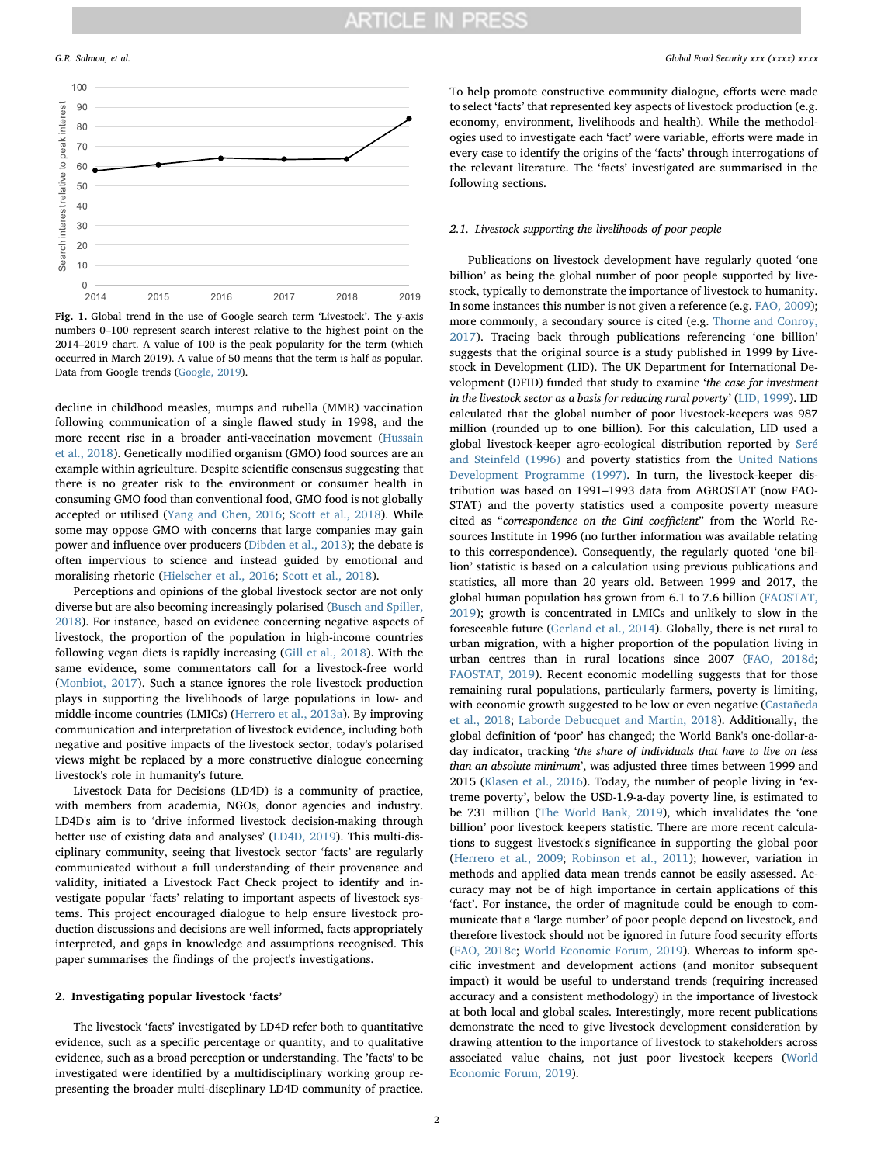<span id="page-1-0"></span>

Fig. 1. Global trend in the use of Google search term 'Livestock'. The y-axis numbers 0–100 represent search interest relative to the highest point on the 2014–2019 chart. A value of 100 is the peak popularity for the term (which occurred in March 2019). A value of 50 means that the term is half as popular. Data from Google trends ([Google, 2019](#page-5-22)).

decline in childhood measles, mumps and rubella (MMR) vaccination following communication of a single flawed study in 1998, and the more recent rise in a broader anti-vaccination movement ([Hussain](#page-5-7) [et al., 2018](#page-5-7)). Genetically modified organism (GMO) food sources are an example within agriculture. Despite scientific consensus suggesting that there is no greater risk to the environment or consumer health in consuming GMO food than conventional food, GMO food is not globally accepted or utilised [\(Yang and Chen, 2016](#page-6-2); [Scott et al., 2018\)](#page-6-3). While some may oppose GMO with concerns that large companies may gain power and influence over producers [\(Dibden et al., 2013\)](#page-4-5); the debate is often impervious to science and instead guided by emotional and moralising rhetoric [\(Hielscher et al., 2016;](#page-5-8) [Scott et al., 2018\)](#page-6-3).

Perceptions and opinions of the global livestock sector are not only diverse but are also becoming increasingly polarised ([Busch and Spiller,](#page-4-3) [2018\)](#page-4-3). For instance, based on evidence concerning negative aspects of livestock, the proportion of the population in high-income countries following vegan diets is rapidly increasing ([Gill et al., 2018\)](#page-5-9). With the same evidence, some commentators call for a livestock-free world ([Monbiot, 2017\)](#page-5-10). Such a stance ignores the role livestock production plays in supporting the livelihoods of large populations in low- and middle-income countries (LMICs) [\(Herrero et al., 2013a\)](#page-5-11). By improving communication and interpretation of livestock evidence, including both negative and positive impacts of the livestock sector, today's polarised views might be replaced by a more constructive dialogue concerning livestock's role in humanity's future.

Livestock Data for Decisions (LD4D) is a community of practice, with members from academia, NGOs, donor agencies and industry. LD4D's aim is to 'drive informed livestock decision-making through better use of existing data and analyses' [\(LD4D, 2019](#page-5-12)). This multi-disciplinary community, seeing that livestock sector 'facts' are regularly communicated without a full understanding of their provenance and validity, initiated a Livestock Fact Check project to identify and investigate popular 'facts' relating to important aspects of livestock systems. This project encouraged dialogue to help ensure livestock production discussions and decisions are well informed, facts appropriately interpreted, and gaps in knowledge and assumptions recognised. This paper summarises the findings of the project's investigations.

### 2. Investigating popular livestock 'facts'

The livestock 'facts' investigated by LD4D refer both to quantitative evidence, such as a specific percentage or quantity, and to qualitative evidence, such as a broad perception or understanding. The 'facts' to be investigated were identified by a multidisciplinary working group representing the broader multi-discplinary LD4D community of practice.

To help promote constructive community dialogue, efforts were made to select 'facts' that represented key aspects of livestock production (e.g. economy, environment, livelihoods and health). While the methodologies used to investigate each 'fact' were variable, efforts were made in every case to identify the origins of the 'facts' through interrogations of the relevant literature. The 'facts' investigated are summarised in the following sections.

#### 2.1. Livestock supporting the livelihoods of poor people

Publications on livestock development have regularly quoted 'one billion' as being the global number of poor people supported by livestock, typically to demonstrate the importance of livestock to humanity. In some instances this number is not given a reference (e.g. [FAO, 2009](#page-4-6)); more commonly, a secondary source is cited (e.g. [Thorne and Conroy,](#page-6-4) [2017\)](#page-6-4). Tracing back through publications referencing 'one billion' suggests that the original source is a study published in 1999 by Livestock in Development (LID). The UK Department for International Development (DFID) funded that study to examine 'the case for investment in the livestock sector as a basis for reducing rural poverty' [\(LID, 1999](#page-5-13)). LID calculated that the global number of poor livestock-keepers was 987 million (rounded up to one billion). For this calculation, LID used a global livestock-keeper agro-ecological distribution reported by [Seré](#page-6-5) [and Steinfeld \(1996\)](#page-6-5) and poverty statistics from the [United Nations](#page-6-6) [Development Programme \(1997\)](#page-6-6). In turn, the livestock-keeper distribution was based on 1991–1993 data from AGROSTAT (now FAO-STAT) and the poverty statistics used a composite poverty measure cited as "correspondence on the Gini coefficient" from the World Resources Institute in 1996 (no further information was available relating to this correspondence). Consequently, the regularly quoted 'one billion' statistic is based on a calculation using previous publications and statistics, all more than 20 years old. Between 1999 and 2017, the global human population has grown from 6.1 to 7.6 billion ([FAOSTAT,](#page-5-14) [2019\)](#page-5-14); growth is concentrated in LMICs and unlikely to slow in the foreseeable future ([Gerland et al., 2014\)](#page-5-15). Globally, there is net rural to urban migration, with a higher proportion of the population living in urban centres than in rural locations since 2007 [\(FAO, 2018d](#page-5-16); [FAOSTAT, 2019\)](#page-5-14). Recent economic modelling suggests that for those remaining rural populations, particularly farmers, poverty is limiting, with economic growth suggested to be low or even negative ([Castañeda](#page-4-7) [et al., 2018](#page-4-7); [Laborde Debucquet and Martin, 2018](#page-5-17)). Additionally, the global definition of 'poor' has changed; the World Bank's one-dollar-aday indicator, tracking 'the share of individuals that have to live on less than an absolute minimum', was adjusted three times between 1999 and 2015 [\(Klasen et al., 2016](#page-5-18)). Today, the number of people living in 'extreme poverty', below the USD-1.9-a-day poverty line, is estimated to be 731 million ([The World Bank, 2019\)](#page-6-7), which invalidates the 'one billion' poor livestock keepers statistic. There are more recent calculations to suggest livestock's significance in supporting the global poor ([Herrero et al., 2009;](#page-5-19) [Robinson et al., 2011\)](#page-5-20); however, variation in methods and applied data mean trends cannot be easily assessed. Accuracy may not be of high importance in certain applications of this 'fact'. For instance, the order of magnitude could be enough to communicate that a 'large number' of poor people depend on livestock, and therefore livestock should not be ignored in future food security efforts ([FAO, 2018c;](#page-5-21) [World Economic Forum, 2019\)](#page-6-8). Whereas to inform specific investment and development actions (and monitor subsequent impact) it would be useful to understand trends (requiring increased accuracy and a consistent methodology) in the importance of livestock at both local and global scales. Interestingly, more recent publications demonstrate the need to give livestock development consideration by drawing attention to the importance of livestock to stakeholders across associated value chains, not just poor livestock keepers ([World](#page-6-8) [Economic Forum, 2019\)](#page-6-8).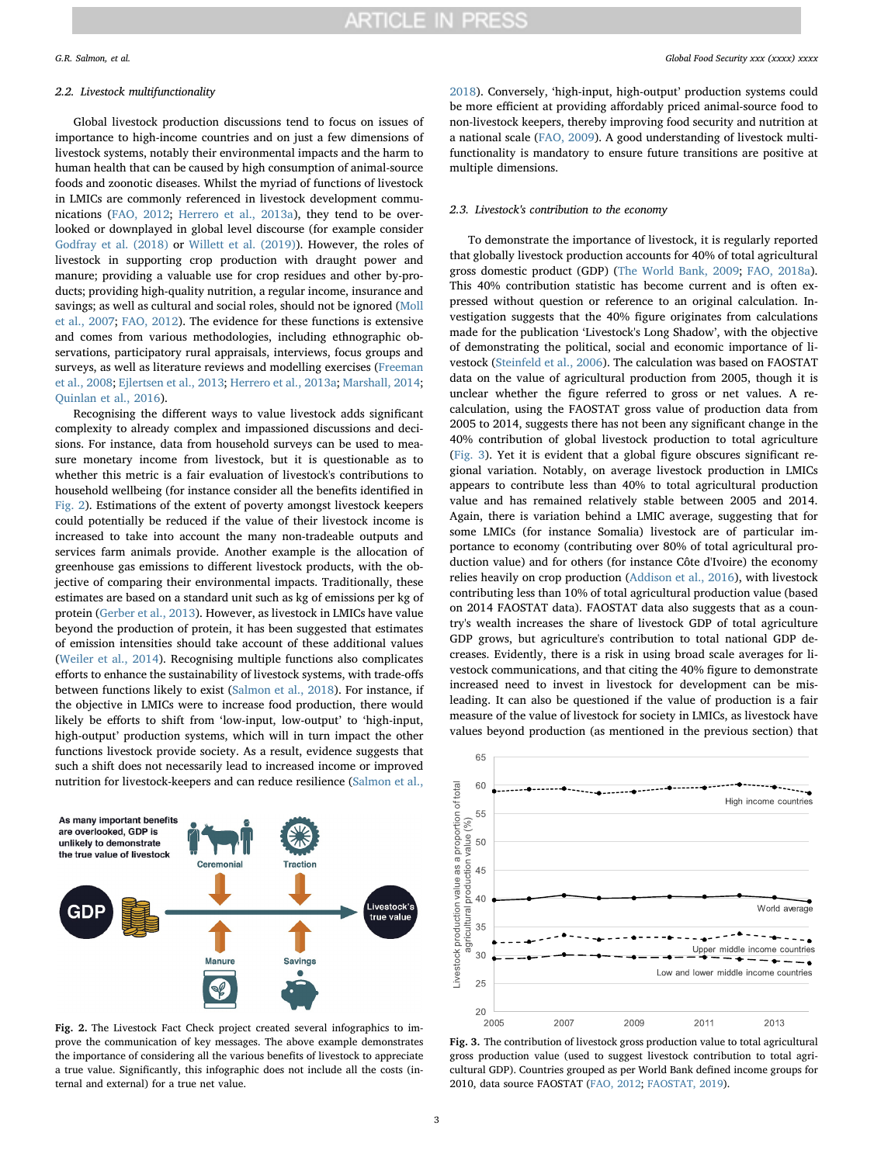#### 2.2. Livestock multifunctionality

Global livestock production discussions tend to focus on issues of importance to high-income countries and on just a few dimensions of livestock systems, notably their environmental impacts and the harm to human health that can be caused by high consumption of animal-source foods and zoonotic diseases. Whilst the myriad of functions of livestock in LMICs are commonly referenced in livestock development communications [\(FAO, 2012;](#page-4-8) [Herrero et al., 2013a](#page-5-11)), they tend to be overlooked or downplayed in global level discourse (for example consider [Godfray et al. \(2018\)](#page-5-4) or [Willett et al. \(2019\)\)](#page-6-9). However, the roles of livestock in supporting crop production with draught power and manure; providing a valuable use for crop residues and other by-products; providing high-quality nutrition, a regular income, insurance and savings; as well as cultural and social roles, should not be ignored ([Moll](#page-5-23) [et al., 2007](#page-5-23); [FAO, 2012](#page-4-8)). The evidence for these functions is extensive and comes from various methodologies, including ethnographic observations, participatory rural appraisals, interviews, focus groups and surveys, as well as literature reviews and modelling exercises [\(Freeman](#page-5-24) [et al., 2008;](#page-5-24) [Ejlertsen et al., 2013;](#page-4-9) [Herrero et al., 2013a;](#page-5-11) [Marshall, 2014](#page-5-25); [Quinlan et al., 2016](#page-5-26)).

Recognising the different ways to value livestock adds significant complexity to already complex and impassioned discussions and decisions. For instance, data from household surveys can be used to measure monetary income from livestock, but it is questionable as to whether this metric is a fair evaluation of livestock's contributions to household wellbeing (for instance consider all the benefits identified in [Fig. 2\)](#page-2-0). Estimations of the extent of poverty amongst livestock keepers could potentially be reduced if the value of their livestock income is increased to take into account the many non-tradeable outputs and services farm animals provide. Another example is the allocation of greenhouse gas emissions to different livestock products, with the objective of comparing their environmental impacts. Traditionally, these estimates are based on a standard unit such as kg of emissions per kg of protein ([Gerber et al., 2013](#page-5-27)). However, as livestock in LMICs have value beyond the production of protein, it has been suggested that estimates of emission intensities should take account of these additional values ([Weiler et al., 2014](#page-6-10)). Recognising multiple functions also complicates efforts to enhance the sustainability of livestock systems, with trade-offs between functions likely to exist [\(Salmon et al., 2018\)](#page-6-11). For instance, if the objective in LMICs were to increase food production, there would likely be efforts to shift from 'low-input, low-output' to 'high-input, high-output' production systems, which will in turn impact the other functions livestock provide society. As a result, evidence suggests that such a shift does not necessarily lead to increased income or improved nutrition for livestock-keepers and can reduce resilience [\(Salmon et al.,](#page-6-11)

<span id="page-2-0"></span>

Fig. 2. The Livestock Fact Check project created several infographics to improve the communication of key messages. The above example demonstrates the importance of considering all the various benefits of livestock to appreciate a true value. Significantly, this infographic does not include all the costs (internal and external) for a true net value.

[2018\)](#page-6-11). Conversely, 'high-input, high-output' production systems could be more efficient at providing affordably priced animal-source food to non-livestock keepers, thereby improving food security and nutrition at a national scale [\(FAO, 2009](#page-4-6)). A good understanding of livestock multifunctionality is mandatory to ensure future transitions are positive at multiple dimensions.

#### 2.3. Livestock's contribution to the economy

To demonstrate the importance of livestock, it is regularly reported that globally livestock production accounts for 40% of total agricultural gross domestic product (GDP) [\(The World Bank, 2009;](#page-6-12) [FAO, 2018a](#page-5-28)). This 40% contribution statistic has become current and is often expressed without question or reference to an original calculation. Investigation suggests that the 40% figure originates from calculations made for the publication 'Livestock's Long Shadow', with the objective of demonstrating the political, social and economic importance of livestock ([Steinfeld et al., 2006\)](#page-6-0). The calculation was based on FAOSTAT data on the value of agricultural production from 2005, though it is unclear whether the figure referred to gross or net values. A recalculation, using the FAOSTAT gross value of production data from 2005 to 2014, suggests there has not been any significant change in the 40% contribution of global livestock production to total agriculture ([Fig. 3\)](#page-2-1). Yet it is evident that a global figure obscures significant regional variation. Notably, on average livestock production in LMICs appears to contribute less than 40% to total agricultural production value and has remained relatively stable between 2005 and 2014. Again, there is variation behind a LMIC average, suggesting that for some LMICs (for instance Somalia) livestock are of particular importance to economy (contributing over 80% of total agricultural production value) and for others (for instance Côte d'Ivoire) the economy relies heavily on crop production [\(Addison et al., 2016\)](#page-4-10), with livestock contributing less than 10% of total agricultural production value (based on 2014 FAOSTAT data). FAOSTAT data also suggests that as a country's wealth increases the share of livestock GDP of total agriculture GDP grows, but agriculture's contribution to total national GDP decreases. Evidently, there is a risk in using broad scale averages for livestock communications, and that citing the 40% figure to demonstrate increased need to invest in livestock for development can be misleading. It can also be questioned if the value of production is a fair measure of the value of livestock for society in LMICs, as livestock have values beyond production (as mentioned in the previous section) that

<span id="page-2-1"></span>

Fig. 3. The contribution of livestock gross production value to total agricultural gross production value (used to suggest livestock contribution to total agricultural GDP). Countries grouped as per World Bank defined income groups for 2010, data source FAOSTAT [\(FAO, 2012;](#page-4-8) [FAOSTAT, 2019](#page-5-14)).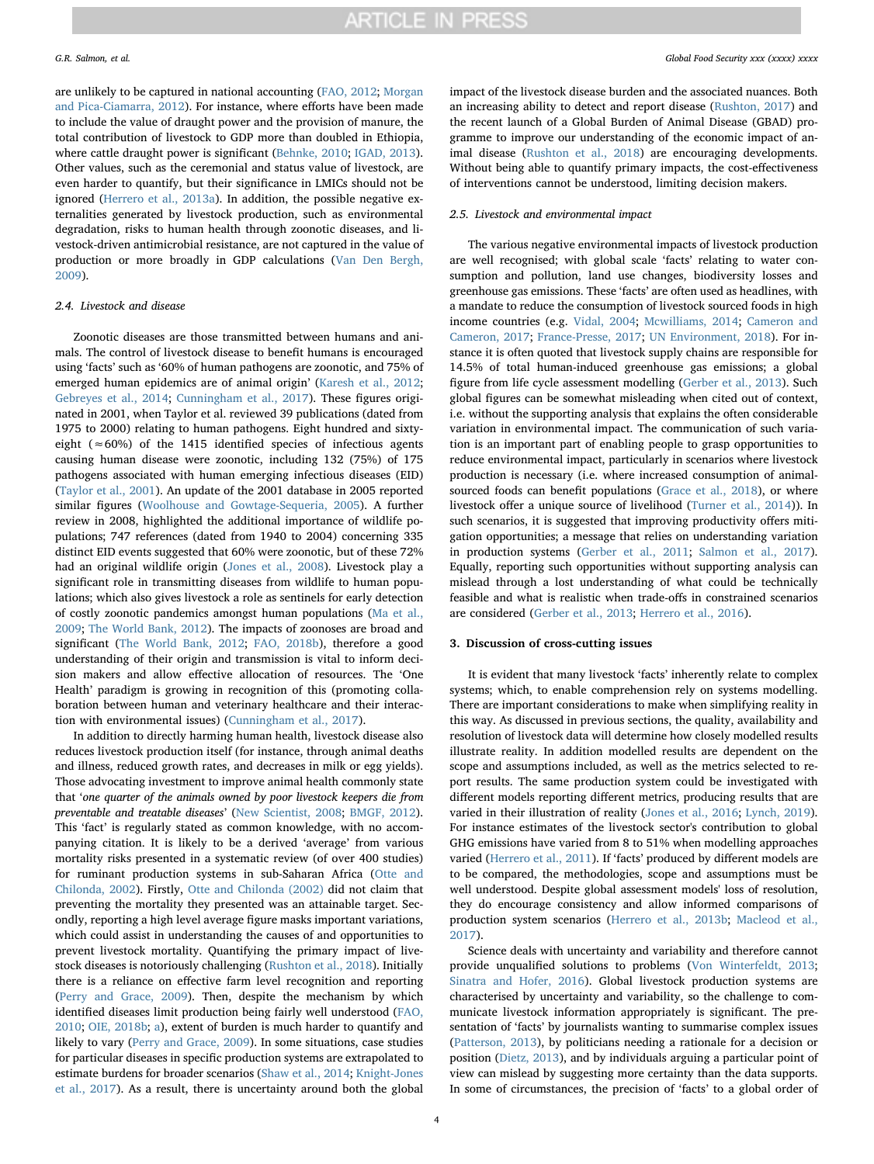are unlikely to be captured in national accounting [\(FAO, 2012;](#page-4-8) [Morgan](#page-5-29) [and Pica-Ciamarra, 2012\)](#page-5-29). For instance, where efforts have been made to include the value of draught power and the provision of manure, the total contribution of livestock to GDP more than doubled in Ethiopia, where cattle draught power is significant [\(Behnke, 2010](#page-4-11); [IGAD, 2013](#page-5-30)). Other values, such as the ceremonial and status value of livestock, are even harder to quantify, but their significance in LMICs should not be ignored ([Herrero et al., 2013a\)](#page-5-11). In addition, the possible negative externalities generated by livestock production, such as environmental degradation, risks to human health through zoonotic diseases, and livestock-driven antimicrobial resistance, are not captured in the value of production or more broadly in GDP calculations ([Van Den Bergh,](#page-6-13) [2009\)](#page-6-13).

#### 2.4. Livestock and disease

Zoonotic diseases are those transmitted between humans and animals. The control of livestock disease to benefit humans is encouraged using 'facts' such as '60% of human pathogens are zoonotic, and 75% of emerged human epidemics are of animal origin' ([Karesh et al., 2012](#page-5-31); [Gebreyes et al., 2014;](#page-5-3) [Cunningham et al., 2017\)](#page-4-12). These figures originated in 2001, when Taylor et al. reviewed 39 publications (dated from 1975 to 2000) relating to human pathogens. Eight hundred and sixtyeight ( $\approx$  60%) of the 1415 identified species of infectious agents causing human disease were zoonotic, including 132 (75%) of 175 pathogens associated with human emerging infectious diseases (EID) ([Taylor et al., 2001](#page-6-14)). An update of the 2001 database in 2005 reported similar figures ([Woolhouse and Gowtage-Sequeria, 2005](#page-6-15)). A further review in 2008, highlighted the additional importance of wildlife populations; 747 references (dated from 1940 to 2004) concerning 335 distinct EID events suggested that 60% were zoonotic, but of these 72% had an original wildlife origin [\(Jones et al., 2008\)](#page-5-32). Livestock play a significant role in transmitting diseases from wildlife to human populations; which also gives livestock a role as sentinels for early detection of costly zoonotic pandemics amongst human populations ([Ma et al.,](#page-5-33) [2009;](#page-5-33) [The World Bank, 2012](#page-6-16)). The impacts of zoonoses are broad and significant [\(The World Bank, 2012;](#page-6-16) [FAO, 2018b](#page-5-34)), therefore a good understanding of their origin and transmission is vital to inform decision makers and allow effective allocation of resources. The 'One Health' paradigm is growing in recognition of this (promoting collaboration between human and veterinary healthcare and their interaction with environmental issues) ([Cunningham et al., 2017](#page-4-12)).

In addition to directly harming human health, livestock disease also reduces livestock production itself (for instance, through animal deaths and illness, reduced growth rates, and decreases in milk or egg yields). Those advocating investment to improve animal health commonly state that 'one quarter of the animals owned by poor livestock keepers die from preventable and treatable diseases' ([New Scientist, 2008](#page-5-35); [BMGF, 2012](#page-4-13)). This 'fact' is regularly stated as common knowledge, with no accompanying citation. It is likely to be a derived 'average' from various mortality risks presented in a systematic review (of over 400 studies) for ruminant production systems in sub-Saharan Africa [\(Otte and](#page-5-36) [Chilonda, 2002](#page-5-36)). Firstly, [Otte and Chilonda \(2002\)](#page-5-36) did not claim that preventing the mortality they presented was an attainable target. Secondly, reporting a high level average figure masks important variations, which could assist in understanding the causes of and opportunities to prevent livestock mortality. Quantifying the primary impact of livestock diseases is notoriously challenging [\(Rushton et al., 2018\)](#page-5-37). Initially there is a reliance on effective farm level recognition and reporting ([Perry and Grace, 2009\)](#page-5-38). Then, despite the mechanism by which identified diseases limit production being fairly well understood ([FAO,](#page-5-39) [2010;](#page-5-39) [OIE, 2018b](#page-5-40); [a](#page-5-41)), extent of burden is much harder to quantify and likely to vary [\(Perry and Grace, 2009](#page-5-38)). In some situations, case studies for particular diseases in specific production systems are extrapolated to estimate burdens for broader scenarios [\(Shaw et al., 2014;](#page-6-17) [Knight-Jones](#page-5-42) [et al., 2017](#page-5-42)). As a result, there is uncertainty around both the global impact of the livestock disease burden and the associated nuances. Both an increasing ability to detect and report disease ([Rushton, 2017\)](#page-5-43) and the recent launch of a Global Burden of Animal Disease (GBAD) programme to improve our understanding of the economic impact of animal disease ([Rushton et al., 2018](#page-5-37)) are encouraging developments. Without being able to quantify primary impacts, the cost-effectiveness of interventions cannot be understood, limiting decision makers.

### 2.5. Livestock and environmental impact

The various negative environmental impacts of livestock production are well recognised; with global scale 'facts' relating to water consumption and pollution, land use changes, biodiversity losses and greenhouse gas emissions. These 'facts' are often used as headlines, with a mandate to reduce the consumption of livestock sourced foods in high income countries (e.g. [Vidal,](#page-6-18) 2004; [Mcwilliams, 2014](#page-5-44); [Cameron and](#page-4-14) [Cameron, 2017](#page-4-14); [France-Presse, 2017](#page-5-45); [UN Environment, 2018](#page-6-19)). For instance it is often quoted that livestock supply chains are responsible for 14.5% of total human-induced greenhouse gas emissions; a global figure from life cycle assessment modelling ([Gerber et al., 2013\)](#page-5-27). Such global figures can be somewhat misleading when cited out of context, i.e. without the supporting analysis that explains the often considerable variation in environmental impact. The communication of such variation is an important part of enabling people to grasp opportunities to reduce environmental impact, particularly in scenarios where livestock production is necessary (i.e. where increased consumption of animalsourced foods can benefit populations ([Grace et al., 2018\)](#page-5-46), or where livestock offer a unique source of livelihood [\(Turner et al., 2014](#page-6-20))). In such scenarios, it is suggested that improving productivity offers mitigation opportunities; a message that relies on understanding variation in production systems [\(Gerber et al., 2011;](#page-5-47) [Salmon et al., 2017](#page-6-21)). Equally, reporting such opportunities without supporting analysis can mislead through a lost understanding of what could be technically feasible and what is realistic when trade-offs in constrained scenarios are considered [\(Gerber et al., 2013](#page-5-27); [Herrero et al., 2016](#page-5-48)).

### 3. Discussion of cross-cutting issues

It is evident that many livestock 'facts' inherently relate to complex systems; which, to enable comprehension rely on systems modelling. There are important considerations to make when simplifying reality in this way. As discussed in previous sections, the quality, availability and resolution of livestock data will determine how closely modelled results illustrate reality. In addition modelled results are dependent on the scope and assumptions included, as well as the metrics selected to report results. The same production system could be investigated with different models reporting different metrics, producing results that are varied in their illustration of reality [\(Jones et al., 2016](#page-5-49); [Lynch, 2019](#page-5-50)). For instance estimates of the livestock sector's contribution to global GHG emissions have varied from 8 to 51% when modelling approaches varied [\(Herrero et al., 2011](#page-5-51)). If 'facts' produced by different models are to be compared, the methodologies, scope and assumptions must be well understood. Despite global assessment models' loss of resolution, they do encourage consistency and allow informed comparisons of production system scenarios ([Herrero et al., 2013b](#page-5-52); [Macleod et al.,](#page-5-53) [2017\)](#page-5-53).

Science deals with uncertainty and variability and therefore cannot provide unqualified solutions to problems (Von [Winterfeldt, 2013](#page-6-22); [Sinatra and Hofer, 2016](#page-6-23)). Global livestock production systems are characterised by uncertainty and variability, so the challenge to communicate livestock information appropriately is significant. The presentation of 'facts' by journalists wanting to summarise complex issues ([Patterson, 2013\)](#page-5-54), by politicians needing a rationale for a decision or position [\(Dietz, 2013](#page-4-15)), and by individuals arguing a particular point of view can mislead by suggesting more certainty than the data supports. In some of circumstances, the precision of 'facts' to a global order of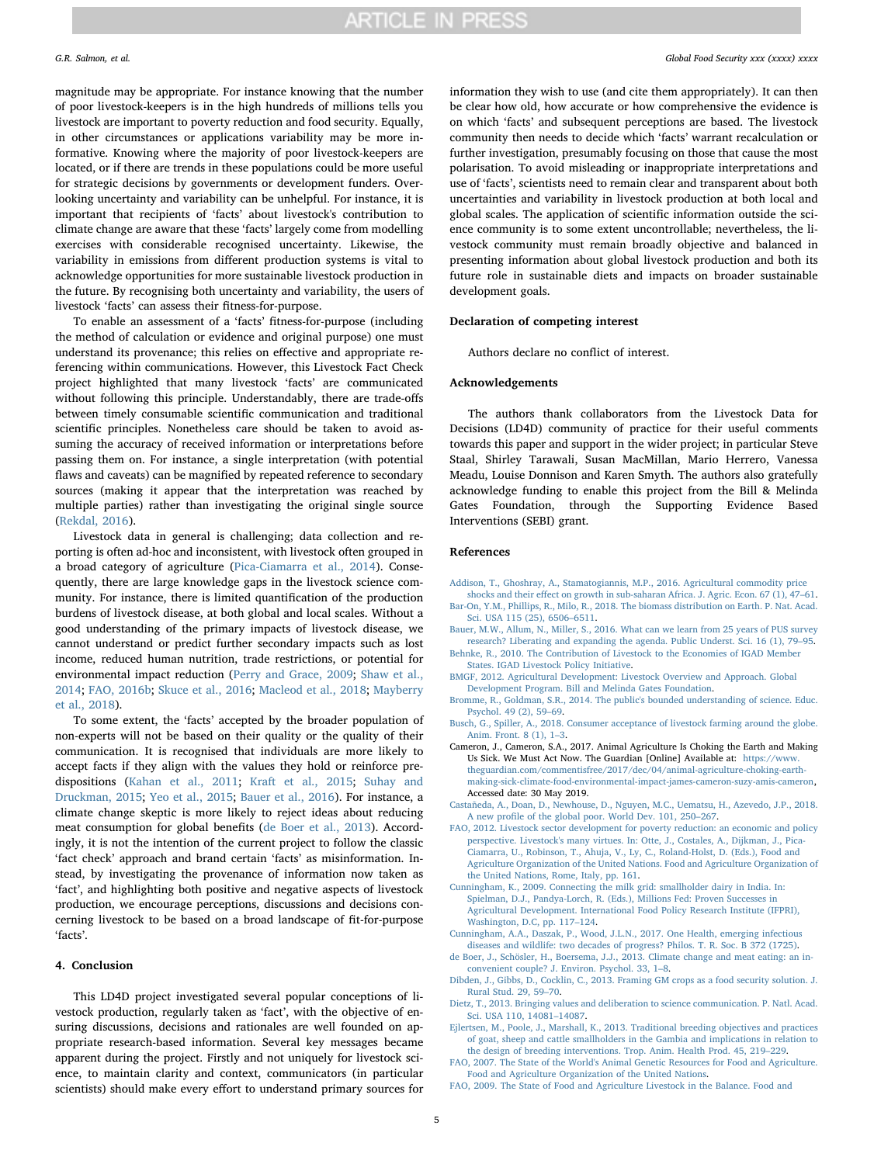magnitude may be appropriate. For instance knowing that the number of poor livestock-keepers is in the high hundreds of millions tells you livestock are important to poverty reduction and food security. Equally, in other circumstances or applications variability may be more informative. Knowing where the majority of poor livestock-keepers are located, or if there are trends in these populations could be more useful for strategic decisions by governments or development funders. Overlooking uncertainty and variability can be unhelpful. For instance, it is important that recipients of 'facts' about livestock's contribution to climate change are aware that these 'facts' largely come from modelling exercises with considerable recognised uncertainty. Likewise, the variability in emissions from different production systems is vital to acknowledge opportunities for more sustainable livestock production in the future. By recognising both uncertainty and variability, the users of livestock 'facts' can assess their fitness-for-purpose.

To enable an assessment of a 'facts' fitness-for-purpose (including the method of calculation or evidence and original purpose) one must understand its provenance; this relies on effective and appropriate referencing within communications. However, this Livestock Fact Check project highlighted that many livestock 'facts' are communicated without following this principle. Understandably, there are trade-offs between timely consumable scientific communication and traditional scientific principles. Nonetheless care should be taken to avoid assuming the accuracy of received information or interpretations before passing them on. For instance, a single interpretation (with potential flaws and caveats) can be magnified by repeated reference to secondary sources (making it appear that the interpretation was reached by multiple parties) rather than investigating the original single source ([Rekdal, 2016\)](#page-5-55).

Livestock data in general is challenging; data collection and reporting is often ad-hoc and inconsistent, with livestock often grouped in a broad category of agriculture ([Pica-Ciamarra et al., 2014](#page-5-56)). Consequently, there are large knowledge gaps in the livestock science community. For instance, there is limited quantification of the production burdens of livestock disease, at both global and local scales. Without a good understanding of the primary impacts of livestock disease, we cannot understand or predict further secondary impacts such as lost income, reduced human nutrition, trade restrictions, or potential for environmental impact reduction [\(Perry and Grace, 2009;](#page-5-38) [Shaw et al.,](#page-6-17) [2014;](#page-6-17) [FAO, 2016b](#page-5-57); [Skuce et al., 2016;](#page-6-24) [Macleod et al., 2018;](#page-5-58) [Mayberry](#page-5-59) [et al., 2018](#page-5-59)).

To some extent, the 'facts' accepted by the broader population of non-experts will not be based on their quality or the quality of their communication. It is recognised that individuals are more likely to accept facts if they align with the values they hold or reinforce predispositions ([Kahan et al., 2011;](#page-5-60) [Kraft et al., 2015](#page-5-61); [Suhay and](#page-6-25) [Druckman, 2015](#page-6-25); [Yeo et al., 2015;](#page-6-26) [Bauer et al., 2016](#page-4-16)). For instance, a climate change skeptic is more likely to reject ideas about reducing meat consumption for global benefits ([de Boer et al., 2013\)](#page-4-17). Accordingly, it is not the intention of the current project to follow the classic 'fact check' approach and brand certain 'facts' as misinformation. Instead, by investigating the provenance of information now taken as 'fact', and highlighting both positive and negative aspects of livestock production, we encourage perceptions, discussions and decisions concerning livestock to be based on a broad landscape of fit-for-purpose 'facts'.

#### 4. Conclusion

This LD4D project investigated several popular conceptions of livestock production, regularly taken as 'fact', with the objective of ensuring discussions, decisions and rationales are well founded on appropriate research-based information. Several key messages became apparent during the project. Firstly and not uniquely for livestock science, to maintain clarity and context, communicators (in particular scientists) should make every effort to understand primary sources for information they wish to use (and cite them appropriately). It can then be clear how old, how accurate or how comprehensive the evidence is on which 'facts' and subsequent perceptions are based. The livestock community then needs to decide which 'facts' warrant recalculation or further investigation, presumably focusing on those that cause the most polarisation. To avoid misleading or inappropriate interpretations and use of 'facts', scientists need to remain clear and transparent about both uncertainties and variability in livestock production at both local and global scales. The application of scientific information outside the science community is to some extent uncontrollable; nevertheless, the livestock community must remain broadly objective and balanced in presenting information about global livestock production and both its future role in sustainable diets and impacts on broader sustainable development goals.

#### Declaration of competing interest

Authors declare no conflict of interest.

#### Acknowledgements

The authors thank collaborators from the Livestock Data for Decisions (LD4D) community of practice for their useful comments towards this paper and support in the wider project; in particular Steve Staal, Shirley Tarawali, Susan MacMillan, Mario Herrero, Vanessa Meadu, Louise Donnison and Karen Smyth. The authors also gratefully acknowledge funding to enable this project from the Bill & Melinda Gates Foundation, through the Supporting Evidence Based Interventions (SEBI) grant.

#### References

- <span id="page-4-10"></span>[Addison, T., Ghoshray, A., Stamatogiannis, M.P., 2016. Agricultural commodity price](http://refhub.elsevier.com/S2211-9124(19)30064-1/sref1) shocks and their eff[ect on growth in sub-saharan Africa. J. Agric. Econ. 67 \(1\), 47](http://refhub.elsevier.com/S2211-9124(19)30064-1/sref1)–61.
- <span id="page-4-0"></span>[Bar-On, Y.M., Phillips, R., Milo, R., 2018. The biomass distribution on Earth. P. Nat. Acad.](http://refhub.elsevier.com/S2211-9124(19)30064-1/sref2) [Sci. USA 115 \(25\), 6506](http://refhub.elsevier.com/S2211-9124(19)30064-1/sref2)–6511.
- <span id="page-4-16"></span>[Bauer, M.W., Allum, N., Miller, S., 2016. What can we learn from 25 years of PUS survey](http://refhub.elsevier.com/S2211-9124(19)30064-1/sref3) [research? Liberating and expanding the agenda. Public Underst. Sci. 16 \(1\), 79](http://refhub.elsevier.com/S2211-9124(19)30064-1/sref3)–95. [Behnke, R., 2010. The Contribution of Livestock to the Economies of IGAD Member](http://refhub.elsevier.com/S2211-9124(19)30064-1/sref4)
- <span id="page-4-11"></span>[States. IGAD Livestock Policy Initiative.](http://refhub.elsevier.com/S2211-9124(19)30064-1/sref4)
- <span id="page-4-13"></span>[BMGF, 2012. Agricultural Development: Livestock Overview and Approach. Global](http://refhub.elsevier.com/S2211-9124(19)30064-1/sref5) [Development Program. Bill and Melinda Gates Foundation](http://refhub.elsevier.com/S2211-9124(19)30064-1/sref5).
- <span id="page-4-4"></span>[Bromme, R., Goldman, S.R., 2014. The public's bounded understanding of science. Educ.](http://refhub.elsevier.com/S2211-9124(19)30064-1/sref6) [Psychol. 49 \(2\), 59](http://refhub.elsevier.com/S2211-9124(19)30064-1/sref6)–69.
- <span id="page-4-3"></span>[Busch, G., Spiller, A., 2018. Consumer acceptance of livestock farming around the globe.](http://refhub.elsevier.com/S2211-9124(19)30064-1/sref7) [Anim. Front. 8 \(1\), 1](http://refhub.elsevier.com/S2211-9124(19)30064-1/sref7)–3.
- <span id="page-4-14"></span>Cameron, J., Cameron, S.A., 2017. Animal Agriculture Is Choking the Earth and Making Us Sick. We Must Act Now. The Guardian [Online] Available at: [https://www.](https://www.theguardian.com/commentisfree/2017/dec/04/animal-agriculture-choking-earth-making-sick-climate-food-environmental-impact-james-cameron-suzy-amis-cameron) [theguardian.com/commentisfree/2017/dec/04/animal-agriculture-choking-earth](https://www.theguardian.com/commentisfree/2017/dec/04/animal-agriculture-choking-earth-making-sick-climate-food-environmental-impact-james-cameron-suzy-amis-cameron)[making-sick-climate-food-environmental-impact-james-cameron-suzy-amis-cameron,](https://www.theguardian.com/commentisfree/2017/dec/04/animal-agriculture-choking-earth-making-sick-climate-food-environmental-impact-james-cameron-suzy-amis-cameron) Accessed date: 30 May 2019.
- <span id="page-4-7"></span>[Castañeda, A., Doan, D., Newhouse, D., Nguyen, M.C., Uematsu, H., Azevedo, J.P., 2018.](http://refhub.elsevier.com/S2211-9124(19)30064-1/sref9) A new profi[le of the global poor. World Dev. 101, 250](http://refhub.elsevier.com/S2211-9124(19)30064-1/sref9)–267.
- <span id="page-4-8"></span>[FAO, 2012. Livestock sector development for poverty reduction: an economic and policy](http://refhub.elsevier.com/S2211-9124(19)30064-1/sref10) [perspective. Livestock's many virtues. In: Otte, J., Costales, A., Dijkman, J., Pica-](http://refhub.elsevier.com/S2211-9124(19)30064-1/sref10)[Ciamarra, U., Robinson, T., Ahuja, V., Ly, C., Roland-Holst, D. \(Eds.\), Food and](http://refhub.elsevier.com/S2211-9124(19)30064-1/sref10) [Agriculture Organization of the United Nations. Food and Agriculture Organization of](http://refhub.elsevier.com/S2211-9124(19)30064-1/sref10) [the United Nations, Rome, Italy, pp. 161.](http://refhub.elsevier.com/S2211-9124(19)30064-1/sref10)
- <span id="page-4-2"></span>[Cunningham, K., 2009. Connecting the milk grid: smallholder dairy in India. In:](http://refhub.elsevier.com/S2211-9124(19)30064-1/sref11) [Spielman, D.J., Pandya-Lorch, R. \(Eds.\), Millions Fed: Proven Successes in](http://refhub.elsevier.com/S2211-9124(19)30064-1/sref11) [Agricultural Development. International Food Policy Research Institute \(IFPRI\),](http://refhub.elsevier.com/S2211-9124(19)30064-1/sref11) [Washington, D.C, pp. 117](http://refhub.elsevier.com/S2211-9124(19)30064-1/sref11)–124.
- <span id="page-4-12"></span>[Cunningham, A.A., Daszak, P., Wood, J.L.N., 2017. One Health, emerging infectious](http://refhub.elsevier.com/S2211-9124(19)30064-1/sref12) [diseases and wildlife: two decades of progress? Philos. T. R. Soc. B 372 \(1725\)](http://refhub.elsevier.com/S2211-9124(19)30064-1/sref12).
- <span id="page-4-17"></span>[de Boer, J., Schösler, H., Boersema, J.J., 2013. Climate change and meat eating: an in](http://refhub.elsevier.com/S2211-9124(19)30064-1/optwgxr3RTksi)[convenient couple? J. Environ. Psychol. 33, 1](http://refhub.elsevier.com/S2211-9124(19)30064-1/optwgxr3RTksi)–8.
- <span id="page-4-5"></span>[Dibden, J., Gibbs, D., Cocklin, C., 2013. Framing GM crops as a food security solution. J.](http://refhub.elsevier.com/S2211-9124(19)30064-1/sref13) [Rural Stud. 29, 59](http://refhub.elsevier.com/S2211-9124(19)30064-1/sref13)–70.
- <span id="page-4-15"></span>[Dietz, T., 2013. Bringing values and deliberation to science communication. P. Natl. Acad.](http://refhub.elsevier.com/S2211-9124(19)30064-1/sref14) [Sci. USA 110, 14081](http://refhub.elsevier.com/S2211-9124(19)30064-1/sref14)–14087.
- <span id="page-4-9"></span>[Ejlertsen, M., Poole, J., Marshall, K., 2013. Traditional breeding objectives and practices](http://refhub.elsevier.com/S2211-9124(19)30064-1/sref15) [of goat, sheep and cattle smallholders in the Gambia and implications in relation to](http://refhub.elsevier.com/S2211-9124(19)30064-1/sref15) [the design of breeding interventions. Trop. Anim. Health Prod. 45, 219](http://refhub.elsevier.com/S2211-9124(19)30064-1/sref15)–229.
- <span id="page-4-1"></span>[FAO, 2007. The State of the World's Animal Genetic Resources for Food and Agriculture.](http://refhub.elsevier.com/S2211-9124(19)30064-1/sref16) [Food and Agriculture Organization of the United Nations.](http://refhub.elsevier.com/S2211-9124(19)30064-1/sref16)
- <span id="page-4-6"></span>[FAO, 2009. The State of Food and Agriculture Livestock in the Balance. Food and](http://refhub.elsevier.com/S2211-9124(19)30064-1/sref17)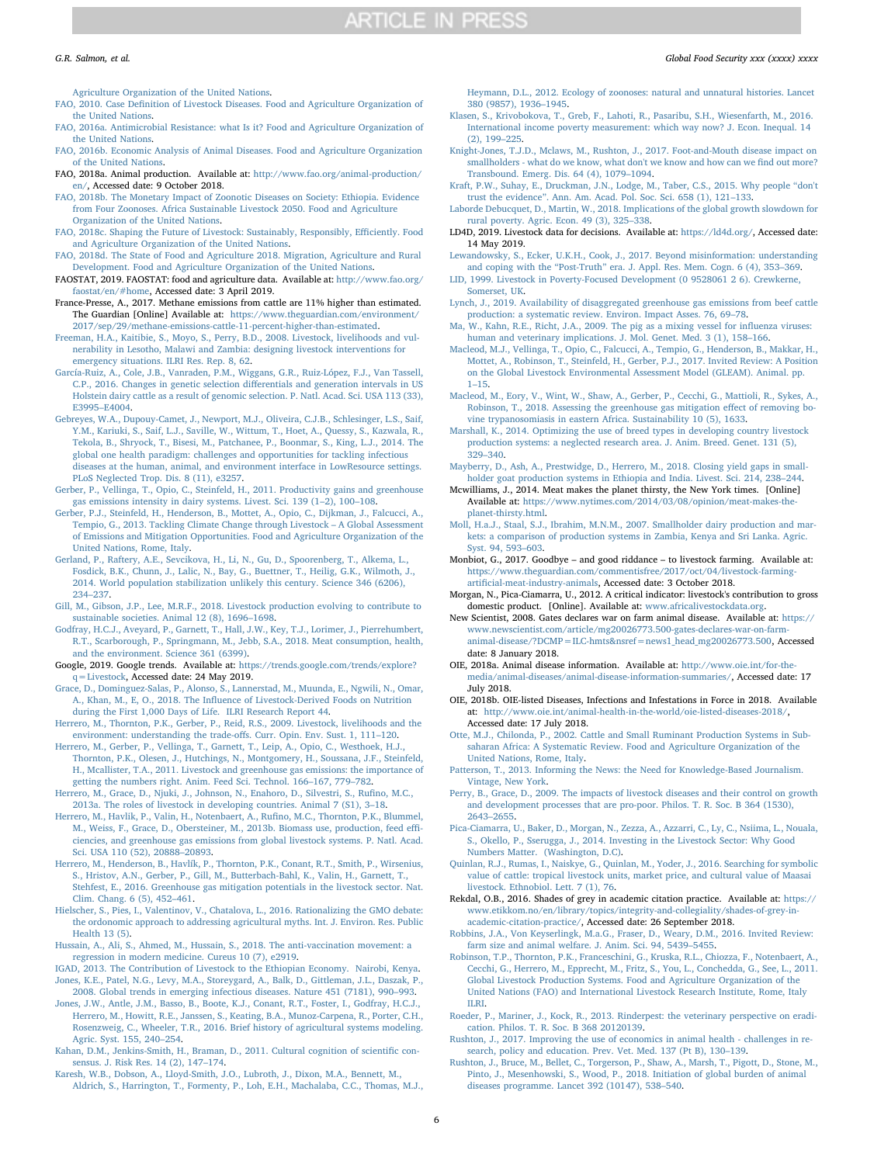## **ARTICLE IN PRESS**

G.R. Salmon, et al. *Global Food Security xxx (xxxx) xxxx*

[Agriculture Organization of the United Nations.](http://refhub.elsevier.com/S2211-9124(19)30064-1/sref17)

- <span id="page-5-39"></span>FAO, 2010. Case Defi[nition of Livestock Diseases. Food and Agriculture Organization of](http://refhub.elsevier.com/S2211-9124(19)30064-1/sref18) [the United Nations](http://refhub.elsevier.com/S2211-9124(19)30064-1/sref18).
- <span id="page-5-5"></span>[FAO, 2016a. Antimicrobial Resistance: what Is it? Food and Agriculture Organization of](http://refhub.elsevier.com/S2211-9124(19)30064-1/sref19) [the United Nations](http://refhub.elsevier.com/S2211-9124(19)30064-1/sref19).
- <span id="page-5-57"></span>[FAO, 2016b. Economic Analysis of Animal Diseases. Food and Agriculture Organization](http://refhub.elsevier.com/S2211-9124(19)30064-1/sref20) [of the United Nations](http://refhub.elsevier.com/S2211-9124(19)30064-1/sref20).
- <span id="page-5-28"></span>FAO, 2018a. Animal production. Available at: [http://www.fao.org/animal-production/](http://www.fao.org/animal-production/en/) [en/](http://www.fao.org/animal-production/en/), Accessed date: 9 October 2018.
- <span id="page-5-34"></span>[FAO, 2018b. The Monetary Impact of Zoonotic Diseases on Society: Ethiopia. Evidence](http://refhub.elsevier.com/S2211-9124(19)30064-1/sref22) [from Four Zoonoses. Africa Sustainable Livestock 2050. Food and Agriculture](http://refhub.elsevier.com/S2211-9124(19)30064-1/sref22) [Organization of the United Nations.](http://refhub.elsevier.com/S2211-9124(19)30064-1/sref22)
- <span id="page-5-21"></span>[FAO, 2018c. Shaping the Future of Livestock: Sustainably, Responsibly, E](http://refhub.elsevier.com/S2211-9124(19)30064-1/sref23)fficiently. Food [and Agriculture Organization of the United Nations](http://refhub.elsevier.com/S2211-9124(19)30064-1/sref23).
- <span id="page-5-16"></span>[FAO, 2018d. The State of Food and Agriculture 2018. Migration, Agriculture and Rural](http://refhub.elsevier.com/S2211-9124(19)30064-1/sref24) [Development. Food and Agriculture Organization of the United Nations.](http://refhub.elsevier.com/S2211-9124(19)30064-1/sref24)
- <span id="page-5-14"></span>FAOSTAT, 2019. FAOSTAT: food and agriculture data. Available at: [http://www.fao.org/](http://www.fao.org/faostat/en/#home) [faostat/en/#home,](http://www.fao.org/faostat/en/#home) Accessed date: 3 April 2019.
- <span id="page-5-45"></span>France-Presse, A., 2017. Methane emissions from cattle are 11% higher than estimated. The Guardian [Online] Available at: [https://www.theguardian.com/environment/](https://www.theguardian.com/environment/2017/sep/29/methane-emissions-cattle-11-percent-higher-than-estimated) [2017/sep/29/methane-emissions-cattle-11-percent-higher-than-estimated](https://www.theguardian.com/environment/2017/sep/29/methane-emissions-cattle-11-percent-higher-than-estimated).
- <span id="page-5-24"></span>[Freeman, H.A., Kaitibie, S., Moyo, S., Perry, B.D., 2008. Livestock, livelihoods and vul](http://refhub.elsevier.com/S2211-9124(19)30064-1/sref27)[nerability in Lesotho, Malawi and Zambia: designing livestock interventions for](http://refhub.elsevier.com/S2211-9124(19)30064-1/sref27) [emergency situations. ILRI Res. Rep. 8, 62](http://refhub.elsevier.com/S2211-9124(19)30064-1/sref27).

<span id="page-5-0"></span>[García-Ruiz, A., Cole, J.B., Vanraden, P.M., Wiggans, G.R., Ruiz-López, F.J., Van Tassell,](http://refhub.elsevier.com/S2211-9124(19)30064-1/sref28) [C.P., 2016. Changes in genetic selection di](http://refhub.elsevier.com/S2211-9124(19)30064-1/sref28)fferentials and generation intervals in US [Holstein dairy cattle as a result of genomic selection. P. Natl. Acad. Sci. USA 113 \(33\),](http://refhub.elsevier.com/S2211-9124(19)30064-1/sref28) E3995–[E4004.](http://refhub.elsevier.com/S2211-9124(19)30064-1/sref28)

- <span id="page-5-3"></span>[Gebreyes, W.A., Dupouy-Camet, J., Newport, M.J., Oliveira, C.J.B., Schlesinger, L.S., Saif,](http://refhub.elsevier.com/S2211-9124(19)30064-1/sref29) [Y.M., Kariuki, S., Saif, L.J., Saville, W., Wittum, T., Hoet, A., Quessy, S., Kazwala, R.,](http://refhub.elsevier.com/S2211-9124(19)30064-1/sref29) [Tekola, B., Shryock, T., Bisesi, M., Patchanee, P., Boonmar, S., King, L.J., 2014. The](http://refhub.elsevier.com/S2211-9124(19)30064-1/sref29) [global one health paradigm: challenges and opportunities for tackling infectious](http://refhub.elsevier.com/S2211-9124(19)30064-1/sref29) [diseases at the human, animal, and environment interface in LowResource settings.](http://refhub.elsevier.com/S2211-9124(19)30064-1/sref29) [PLoS Neglected Trop. Dis. 8 \(11\), e3257.](http://refhub.elsevier.com/S2211-9124(19)30064-1/sref29)
- <span id="page-5-47"></span>[Gerber, P., Vellinga, T., Opio, C., Steinfeld, H., 2011. Productivity gains and greenhouse](http://refhub.elsevier.com/S2211-9124(19)30064-1/sref30) [gas emissions intensity in dairy systems. Livest. Sci. 139 \(1](http://refhub.elsevier.com/S2211-9124(19)30064-1/sref30)–2), 100–108.
- <span id="page-5-27"></span>[Gerber, P.J., Steinfeld, H., Henderson, B., Mottet, A., Opio, C., Dijkman, J., Falcucci, A.,](http://refhub.elsevier.com/S2211-9124(19)30064-1/sref31) [Tempio, G., 2013. Tackling Climate Change through Livestock](http://refhub.elsevier.com/S2211-9124(19)30064-1/sref31) – A Global Assessment [of Emissions and Mitigation Opportunities. Food and Agriculture Organization of the](http://refhub.elsevier.com/S2211-9124(19)30064-1/sref31) [United Nations, Rome, Italy.](http://refhub.elsevier.com/S2211-9124(19)30064-1/sref31)
- <span id="page-5-15"></span>[Gerland, P., Raftery, A.E., Sevcikova, H., Li, N., Gu, D., Spoorenberg, T., Alkema, L.,](http://refhub.elsevier.com/S2211-9124(19)30064-1/sref32) [Fosdick, B.K., Chunn, J., Lalic, N., Bay, G., Buettner, T., Heilig, G.K., Wilmoth, J.,](http://refhub.elsevier.com/S2211-9124(19)30064-1/sref32) [2014. World population stabilization unlikely this century. Science 346 \(6206\),](http://refhub.elsevier.com/S2211-9124(19)30064-1/sref32) 234–[237](http://refhub.elsevier.com/S2211-9124(19)30064-1/sref32).
- <span id="page-5-9"></span>[Gill, M., Gibson, J.P., Lee, M.R.F., 2018. Livestock production evolving to contribute to](http://refhub.elsevier.com/S2211-9124(19)30064-1/sref33) [sustainable societies. Animal 12 \(8\), 1696](http://refhub.elsevier.com/S2211-9124(19)30064-1/sref33)–1698.
- <span id="page-5-4"></span>[Godfray, H.C.J., Aveyard, P., Garnett, T., Hall, J.W., Key, T.J., Lorimer, J., Pierrehumbert,](http://refhub.elsevier.com/S2211-9124(19)30064-1/sref34) [R.T., Scarborough, P., Springmann, M., Jebb, S.A., 2018. Meat consumption, health,](http://refhub.elsevier.com/S2211-9124(19)30064-1/sref34) [and the environment. Science 361 \(6399\)](http://refhub.elsevier.com/S2211-9124(19)30064-1/sref34).

<span id="page-5-22"></span>Google, 2019. Google trends. Available at: [https://trends.google.com/trends/explore?](https://trends.google.com/trends/explore?q=Livestock) [q=Livestock,](https://trends.google.com/trends/explore?q=Livestock) Accessed date: 24 May 2019.

- <span id="page-5-46"></span>[Grace, D., Dominguez-Salas, P., Alonso, S., Lannerstad, M., Muunda, E., Ngwili, N., Omar,](http://refhub.elsevier.com/S2211-9124(19)30064-1/sref36) A., Khan, M., E, O., 2018. The Infl[uence of Livestock-Derived Foods on Nutrition](http://refhub.elsevier.com/S2211-9124(19)30064-1/sref36) [during the First 1,000 Days of Life. ILRI Research Report 44.](http://refhub.elsevier.com/S2211-9124(19)30064-1/sref36)
- <span id="page-5-19"></span>[Herrero, M., Thornton, P.K., Gerber, P., Reid, R.S., 2009. Livestock, livelihoods and the](http://refhub.elsevier.com/S2211-9124(19)30064-1/sref37) [environment: understanding the trade-o](http://refhub.elsevier.com/S2211-9124(19)30064-1/sref37)ffs. Curr. Opin. Env. Sust. 1, 111–120.
- <span id="page-5-51"></span>Herrero, [M., Gerber, P., Vellinga, T., Garnett, T., Leip, A., Opio, C., Westhoek, H.J.,](http://refhub.elsevier.com/S2211-9124(19)30064-1/sref38) [Thornton, P.K., Olesen, J., Hutchings, N., Montgomery, H., Soussana, J.F., Steinfeld,](http://refhub.elsevier.com/S2211-9124(19)30064-1/sref38) [H., Mcallister, T.A., 2011. Livestock and greenhouse gas emissions: the importance of](http://refhub.elsevier.com/S2211-9124(19)30064-1/sref38) [getting the numbers right. Anim. Feed Sci. Technol. 166](http://refhub.elsevier.com/S2211-9124(19)30064-1/sref38)–167, 779–782.
- <span id="page-5-11"></span>[Herrero, M., Grace, D., Njuki, J., Johnson, N., Enahoro, D., Silvestri, S., Ru](http://refhub.elsevier.com/S2211-9124(19)30064-1/sref39)fino, M.C., [2013a. The roles of livestock in developing countries. Animal 7 \(S1\), 3](http://refhub.elsevier.com/S2211-9124(19)30064-1/sref39)–18.
- <span id="page-5-52"></span>[Herrero, M., Havlik, P., Valin, H., Notenbaert, A., Ru](http://refhub.elsevier.com/S2211-9124(19)30064-1/sref40)fino, M.C., Thornton, P.K., Blummel, [M., Weiss, F., Grace, D., Obersteiner, M., 2013b. Biomass use, production, feed e](http://refhub.elsevier.com/S2211-9124(19)30064-1/sref40)ffi[ciencies, and greenhouse gas emissions from global livestock systems. P. Natl. Acad.](http://refhub.elsevier.com/S2211-9124(19)30064-1/sref40) [Sci. USA 110 \(52\), 20888](http://refhub.elsevier.com/S2211-9124(19)30064-1/sref40)–20893.
- <span id="page-5-48"></span>[Herrero, M., Henderson, B., Havlík, P., Thornton, P.K., Conant, R.T., Smith, P., Wirsenius,](http://refhub.elsevier.com/S2211-9124(19)30064-1/sref41) S., Hristov, A.N., Gerber, P., Gill, M., Butterbach-Bahl, K., Valin, H., Garnett, T. [Stehfest, E., 2016. Greenhouse gas mitigation potentials in the livestock sector. Nat.](http://refhub.elsevier.com/S2211-9124(19)30064-1/sref41) [Clim. Chang. 6 \(5\), 452](http://refhub.elsevier.com/S2211-9124(19)30064-1/sref41)–461.
- <span id="page-5-8"></span>[Hielscher, S., Pies, I., Valentinov, V., Chatalova, L., 2016. Rationalizing the GMO debate:](http://refhub.elsevier.com/S2211-9124(19)30064-1/sref42) [the ordonomic approach to addressing agricultural myths. Int. J. Environ. Res. Public](http://refhub.elsevier.com/S2211-9124(19)30064-1/sref42) [Health 13 \(5\)](http://refhub.elsevier.com/S2211-9124(19)30064-1/sref42).
- <span id="page-5-7"></span>[Hussain, A., Ali, S., Ahmed, M., Hussain, S., 2018. The anti-vaccination movement: a](http://refhub.elsevier.com/S2211-9124(19)30064-1/sref43) [regression in modern medicine. Cureus 10 \(7\), e2919](http://refhub.elsevier.com/S2211-9124(19)30064-1/sref43).
- <span id="page-5-32"></span><span id="page-5-30"></span>[IGAD, 2013. The Contribution of Livestock to the Ethiopian Economy. Nairobi, Kenya.](http://refhub.elsevier.com/S2211-9124(19)30064-1/sref44) [Jones, K.E., Patel, N.G., Levy, M.A., Storeygard, A., Balk, D., Gittleman, J.L., Daszak, P.,](http://refhub.elsevier.com/S2211-9124(19)30064-1/sref45) [2008. Global trends in emerging infectious diseases. Nature 451 \(7181\), 990](http://refhub.elsevier.com/S2211-9124(19)30064-1/sref45)–993.
- <span id="page-5-49"></span>[Jones, J.W., Antle, J.M., Basso, B., Boote, K.J., Conant, R.T., Foster, I., Godfray, H.C.J.,](http://refhub.elsevier.com/S2211-9124(19)30064-1/sref46) [Herrero, M., Howitt, R.E., Janssen, S., Keating, B.A., Munoz-Carpena, R., Porter, C.H.,](http://refhub.elsevier.com/S2211-9124(19)30064-1/sref46) [Rosenzweig, C., Wheeler, T.R., 2016. Brief history of agricultural systems modeling.](http://refhub.elsevier.com/S2211-9124(19)30064-1/sref46) [Agric. Syst. 155, 240](http://refhub.elsevier.com/S2211-9124(19)30064-1/sref46)–254.
- <span id="page-5-60"></span>Kahan, D.M., Jenkins‐[Smith, H., Braman, D., 2011. Cultural cognition of scienti](http://refhub.elsevier.com/S2211-9124(19)30064-1/sref47)fic con[sensus. J. Risk Res. 14 \(2\), 147](http://refhub.elsevier.com/S2211-9124(19)30064-1/sref47)–174.
- <span id="page-5-31"></span>[Karesh, W.B., Dobson, A., Lloyd-Smith, J.O., Lubroth, J., Dixon, M.A., Bennett, M.,](http://refhub.elsevier.com/S2211-9124(19)30064-1/sref48) [Aldrich, S., Harrington, T., Formenty, P., Loh, E.H., Machalaba, C.C., Thomas, M.J.,](http://refhub.elsevier.com/S2211-9124(19)30064-1/sref48)

[Heymann, D.L., 2012. Ecology of zoonoses: natural and unnatural histories. Lancet](http://refhub.elsevier.com/S2211-9124(19)30064-1/sref48) [380 \(9857\), 1936](http://refhub.elsevier.com/S2211-9124(19)30064-1/sref48)–1945.

- <span id="page-5-18"></span>[Klasen, S., Krivobokova, T., Greb, F., Lahoti, R., Pasaribu, S.H., Wiesenfarth, M., 2016.](http://refhub.elsevier.com/S2211-9124(19)30064-1/sref49) [International income poverty measurement: which way now? J. Econ. Inequal. 14](http://refhub.elsevier.com/S2211-9124(19)30064-1/sref49) [\(2\), 199](http://refhub.elsevier.com/S2211-9124(19)30064-1/sref49)–225.
- <span id="page-5-42"></span>[Knight-Jones, T.J.D., Mclaws, M., Rushton, J., 2017. Foot-and-Mouth disease impact on](http://refhub.elsevier.com/S2211-9124(19)30064-1/sref50) [smallholders - what do we know, what don't we know and how can we](http://refhub.elsevier.com/S2211-9124(19)30064-1/sref50) find out more? [Transbound. Emerg. Dis. 64 \(4\), 1079](http://refhub.elsevier.com/S2211-9124(19)30064-1/sref50)–1094.
- <span id="page-5-61"></span>[Kraft, P.W., Suhay, E., Druckman, J.N., Lodge, M., Taber, C.S., 2015. Why people](http://refhub.elsevier.com/S2211-9124(19)30064-1/sref51) "don't trust the evidence"[. Ann. Am. Acad. Pol. Soc. Sci. 658 \(1\), 121](http://refhub.elsevier.com/S2211-9124(19)30064-1/sref51)–133.
- <span id="page-5-17"></span>[Laborde Debucquet, D., Martin, W., 2018. Implications of the global growth slowdown for](http://refhub.elsevier.com/S2211-9124(19)30064-1/sref52) [rural poverty. Agric. Econ. 49 \(3\), 325](http://refhub.elsevier.com/S2211-9124(19)30064-1/sref52)–338.
- <span id="page-5-12"></span>LD4D, 2019. Livestock data for decisions. Available at: <https://ld4d.org/>, Accessed date: 14 May 2019.
- <span id="page-5-6"></span>[Lewandowsky, S., Ecker, U.K.H., Cook, J., 2017. Beyond misinformation: understanding](http://refhub.elsevier.com/S2211-9124(19)30064-1/sref54) and coping with the "Post-Truth" [era. J. Appl. Res. Mem. Cogn. 6 \(4\), 353](http://refhub.elsevier.com/S2211-9124(19)30064-1/sref54)–369.
- <span id="page-5-13"></span>[LID, 1999. Livestock in Poverty-Focused Development \(0 9528061 2 6\). Crewkerne,](http://refhub.elsevier.com/S2211-9124(19)30064-1/sref55) [Somerset, UK.](http://refhub.elsevier.com/S2211-9124(19)30064-1/sref55)
- <span id="page-5-50"></span>[Lynch, J., 2019. Availability of disaggregated greenhouse gas emissions from beef cattle](http://refhub.elsevier.com/S2211-9124(19)30064-1/sref56) [production: a systematic review. Environ. Impact Asses. 76, 69](http://refhub.elsevier.com/S2211-9124(19)30064-1/sref56)–78.
- <span id="page-5-33"></span>[Ma, W., Kahn, R.E., Richt, J.A., 2009. The pig as a mixing vessel for in](http://refhub.elsevier.com/S2211-9124(19)30064-1/sref57)fluenza viruses: [human and veterinary implications. J. Mol. Genet. Med. 3 \(1\), 158](http://refhub.elsevier.com/S2211-9124(19)30064-1/sref57)–166.
- <span id="page-5-53"></span>[Macleod, M.J., Vellinga, T., Opio, C., Falcucci, A., Tempio, G., Henderson, B., Makkar, H.,](http://refhub.elsevier.com/S2211-9124(19)30064-1/sref58) [Mottet, A., Robinson, T., Steinfeld, H., Gerber, P.J., 2017. Invited Review: A Position](http://refhub.elsevier.com/S2211-9124(19)30064-1/sref58) [on the Global Livestock Environmental Assessment Model \(GLEAM\). Animal. pp.](http://refhub.elsevier.com/S2211-9124(19)30064-1/sref58) 1–[15.](http://refhub.elsevier.com/S2211-9124(19)30064-1/sref58)
- <span id="page-5-58"></span>[Macleod, M., Eory, V., Wint, W., Shaw, A., Gerber, P., Cecchi, G., Mattioli, R., Sykes, A.,](http://refhub.elsevier.com/S2211-9124(19)30064-1/sref59) [Robinson, T., 2018. Assessing the greenhouse gas mitigation e](http://refhub.elsevier.com/S2211-9124(19)30064-1/sref59)ffect of removing bo[vine trypanosomiasis in eastern Africa. Sustainability 10 \(5\), 1633](http://refhub.elsevier.com/S2211-9124(19)30064-1/sref59).

<span id="page-5-25"></span>[Marshall, K., 2014. Optimizing the use of breed types in developing country livestock](http://refhub.elsevier.com/S2211-9124(19)30064-1/sref60) [production systems: a neglected research area. J. Anim. Breed. Genet. 131 \(5\),](http://refhub.elsevier.com/S2211-9124(19)30064-1/sref60) 329–[340](http://refhub.elsevier.com/S2211-9124(19)30064-1/sref60).

- <span id="page-5-59"></span>[Mayberry, D., Ash, A., Prestwidge, D., Herrero, M., 2018. Closing yield gaps in small](http://refhub.elsevier.com/S2211-9124(19)30064-1/sref61)[holder goat production systems in Ethiopia and India. Livest. Sci. 214, 238](http://refhub.elsevier.com/S2211-9124(19)30064-1/sref61)–244.
- <span id="page-5-44"></span>Mcwilliams, J., 2014. Meat makes the planet thirsty, the New York times. [Online] Available at: [https://www.nytimes.com/2014/03/08/opinion/meat-makes-the](https://www.nytimes.com/2014/03/08/opinion/meat-makes-the-planet-thirsty.html)[planet-thirsty.html](https://www.nytimes.com/2014/03/08/opinion/meat-makes-the-planet-thirsty.html).
- <span id="page-5-23"></span>[Moll, H.a.J., Staal, S.J., Ibrahim, M.N.M., 2007. Smallholder dairy production and mar](http://refhub.elsevier.com/S2211-9124(19)30064-1/sref63)[kets: a comparison of production systems in Zambia, Kenya and Sri Lanka. Agric.](http://refhub.elsevier.com/S2211-9124(19)30064-1/sref63) [Syst. 94, 593](http://refhub.elsevier.com/S2211-9124(19)30064-1/sref63)–603.
- <span id="page-5-10"></span>Monbiot, G., 2017. Goodbye – and good riddance – to livestock farming. Available at: [https://www.theguardian.com/commentisfree/2017/oct/04/livestock-farming](https://www.theguardian.com/commentisfree/2017/oct/04/livestock-farming-artificial-meat-industry-animals)artifi[cial-meat-industry-animals,](https://www.theguardian.com/commentisfree/2017/oct/04/livestock-farming-artificial-meat-industry-animals) Accessed date: 3 October 2018.
- <span id="page-5-29"></span>Morgan, N., Pica-Ciamarra, U., 2012. A critical indicator: livestock's contribution to gross domestic product. [Online]. Available at: [www.africalivestockdata.org.](http://www.africalivestockdata.org)
- <span id="page-5-35"></span>New Scientist, 2008. Gates declares war on farm animal disease. Available at: [https://](https://www.newscientist.com/article/mg20026773.500-gates-declares-war-on-farm-animal-disease/%3fDCMP%3dILC-hmts%26nsref%3dnews1_head_mg20026773.500) [www.newscientist.com/article/mg20026773.500-gates-declares-war-on-farm](https://www.newscientist.com/article/mg20026773.500-gates-declares-war-on-farm-animal-disease/%3fDCMP%3dILC-hmts%26nsref%3dnews1_head_mg20026773.500)[animal-disease/?DCMP=ILC-hmts&nsref=news1\\_head\\_mg20026773.500](https://www.newscientist.com/article/mg20026773.500-gates-declares-war-on-farm-animal-disease/%3fDCMP%3dILC-hmts%26nsref%3dnews1_head_mg20026773.500), Accessed date: 8 January 2018.
- <span id="page-5-41"></span>OIE, 2018a. Animal disease information. Available at: [http://www.oie.int/for-the](http://www.oie.int/for-the-media/animal-diseases/animal-disease-information-summaries/)[media/animal-diseases/animal-disease-information-summaries/,](http://www.oie.int/for-the-media/animal-diseases/animal-disease-information-summaries/) Accessed date: 17 July 2018.
- <span id="page-5-40"></span>OIE, 2018b. OIE-listed Diseases, Infections and Infestations in Force in 2018. Available at: [http://www.oie.int/animal-health-in-the-world/oie-listed-diseases-2018/,](http://www.oie.int/animal-health-in-the-world/oie-listed-diseases-2018/) Accessed date: 17 July 2018.
- <span id="page-5-36"></span>[Otte, M.J., Chilonda, P., 2002. Cattle and Small Ruminant Production Systems in Sub](http://refhub.elsevier.com/S2211-9124(19)30064-1/sref69)[saharan Africa: A Systematic Review. Food and Agriculture Organization of the](http://refhub.elsevier.com/S2211-9124(19)30064-1/sref69) [United Nations, Rome, Italy.](http://refhub.elsevier.com/S2211-9124(19)30064-1/sref69)
- <span id="page-5-54"></span>[Patterson, T., 2013. Informing the News: the Need for Knowledge-Based Journalism.](http://refhub.elsevier.com/S2211-9124(19)30064-1/sref70) [Vintage, New York](http://refhub.elsevier.com/S2211-9124(19)30064-1/sref70).
- <span id="page-5-38"></span>[Perry, B., Grace, D., 2009. The impacts of livestock diseases and their control on growth](http://refhub.elsevier.com/S2211-9124(19)30064-1/sref71) [and development processes that are pro-poor. Philos. T. R. Soc. B 364 \(1530\),](http://refhub.elsevier.com/S2211-9124(19)30064-1/sref71) 2643–[2655](http://refhub.elsevier.com/S2211-9124(19)30064-1/sref71).
- <span id="page-5-56"></span>Pica-Ciamarra, [U., Baker, D., Morgan, N., Zezza, A., Azzarri, C., Ly, C., Nsiima, L., Nouala,](http://refhub.elsevier.com/S2211-9124(19)30064-1/sref72) [S., Okello, P., Sserugga, J., 2014. Investing in the Livestock Sector: Why Good](http://refhub.elsevier.com/S2211-9124(19)30064-1/sref72) [Numbers Matter. \(Washington, D.C\)](http://refhub.elsevier.com/S2211-9124(19)30064-1/sref72).
- <span id="page-5-26"></span>[Quinlan, R.J., Rumas, I., Naiskye, G., Quinlan, M., Yoder, J., 2016. Searching for symbolic](http://refhub.elsevier.com/S2211-9124(19)30064-1/sref73) [value of cattle: tropical livestock units, market price, and cultural value of Maasai](http://refhub.elsevier.com/S2211-9124(19)30064-1/sref73) [livestock. Ethnobiol. Lett. 7 \(1\), 76.](http://refhub.elsevier.com/S2211-9124(19)30064-1/sref73)
- <span id="page-5-55"></span>Rekdal, O.B., 2016. Shades of grey in academic citation practice. Available at: [https://](https://www.etikkom.no/en/library/topics/integrity-and-collegiality/shades-of-grey-in-academic-citation-practice/) [www.etikkom.no/en/library/topics/integrity-and-collegiality/shades-of-grey-in](https://www.etikkom.no/en/library/topics/integrity-and-collegiality/shades-of-grey-in-academic-citation-practice/)[academic-citation-practice/](https://www.etikkom.no/en/library/topics/integrity-and-collegiality/shades-of-grey-in-academic-citation-practice/), Accessed date: 26 September 2018.
- <span id="page-5-2"></span>[Robbins, J.A., Von Keyserlingk, M.a.G., Fraser, D., Weary, D.M., 2016. Invited Review:](http://refhub.elsevier.com/S2211-9124(19)30064-1/sref75) [farm size and animal welfare. J. Anim. Sci. 94, 5439](http://refhub.elsevier.com/S2211-9124(19)30064-1/sref75)–5455.
- <span id="page-5-20"></span>[Robinson, T.P., Thornton, P.K., Franceschini, G., Kruska, R.L., Chiozza, F., Notenbaert, A.,](http://refhub.elsevier.com/S2211-9124(19)30064-1/sref76) [Cecchi, G., Herrero, M., Epprecht, M., Fritz, S., You, L., Conchedda, G., See, L., 2011.](http://refhub.elsevier.com/S2211-9124(19)30064-1/sref76) [Global Livestock Production Systems. Food and Agriculture Organization of the](http://refhub.elsevier.com/S2211-9124(19)30064-1/sref76) [United Nations \(FAO\) and International Livestock Research Institute, Rome, Italy](http://refhub.elsevier.com/S2211-9124(19)30064-1/sref76) [ILRI](http://refhub.elsevier.com/S2211-9124(19)30064-1/sref76).
- <span id="page-5-1"></span>[Roeder, P., Mariner, J., Kock, R., 2013. Rinderpest: the veterinary perspective on eradi](http://refhub.elsevier.com/S2211-9124(19)30064-1/sref77)[cation. Philos. T. R. Soc. B 368 20120139](http://refhub.elsevier.com/S2211-9124(19)30064-1/sref77).
- <span id="page-5-43"></span>[Rushton, J., 2017. Improving the use of economics in animal health - challenges in re](http://refhub.elsevier.com/S2211-9124(19)30064-1/sref78)[search, policy and education. Prev. Vet. Med. 137 \(Pt B\), 130](http://refhub.elsevier.com/S2211-9124(19)30064-1/sref78)–139.
- <span id="page-5-37"></span>[Rushton, J., Bruce, M., Bellet, C., Torgerson, P., Shaw, A., Marsh, T., Pigott, D., Stone, M.,](http://refhub.elsevier.com/S2211-9124(19)30064-1/sref79) [Pinto, J., Mesenhowski, S., Wood, P., 2018. Initiation of global burden of animal](http://refhub.elsevier.com/S2211-9124(19)30064-1/sref79) [diseases programme. Lancet 392 \(10147\), 538](http://refhub.elsevier.com/S2211-9124(19)30064-1/sref79)–540.